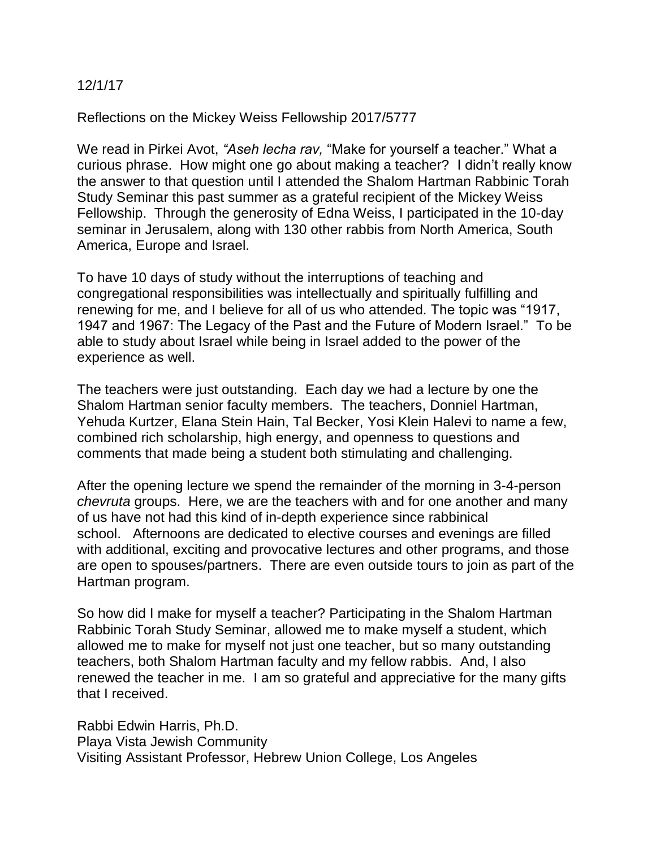## 12/1/17

## Reflections on the Mickey Weiss Fellowship 2017/5777

We read in Pirkei Avot, *"Aseh lecha rav,* "Make for yourself a teacher." What a curious phrase. How might one go about making a teacher? I didn't really know the answer to that question until I attended the Shalom Hartman Rabbinic Torah Study Seminar this past summer as a grateful recipient of the Mickey Weiss Fellowship. Through the generosity of Edna Weiss, I participated in the 10-day seminar in Jerusalem, along with 130 other rabbis from North America, South America, Europe and Israel.

To have 10 days of study without the interruptions of teaching and congregational responsibilities was intellectually and spiritually fulfilling and renewing for me, and I believe for all of us who attended. The topic was "1917, 1947 and 1967: The Legacy of the Past and the Future of Modern Israel." To be able to study about Israel while being in Israel added to the power of the experience as well.

The teachers were just outstanding. Each day we had a lecture by one the Shalom Hartman senior faculty members. The teachers, Donniel Hartman, Yehuda Kurtzer, Elana Stein Hain, Tal Becker, Yosi Klein Halevi to name a few, combined rich scholarship, high energy, and openness to questions and comments that made being a student both stimulating and challenging.

After the opening lecture we spend the remainder of the morning in 3-4-person *chevruta* groups. Here, we are the teachers with and for one another and many of us have not had this kind of in-depth experience since rabbinical school. Afternoons are dedicated to elective courses and evenings are filled with additional, exciting and provocative lectures and other programs, and those are open to spouses/partners. There are even outside tours to join as part of the Hartman program.

So how did I make for myself a teacher? Participating in the Shalom Hartman Rabbinic Torah Study Seminar, allowed me to make myself a student, which allowed me to make for myself not just one teacher, but so many outstanding teachers, both Shalom Hartman faculty and my fellow rabbis. And, I also renewed the teacher in me. I am so grateful and appreciative for the many gifts that I received.

Rabbi Edwin Harris, Ph.D. Playa Vista Jewish Community Visiting Assistant Professor, Hebrew Union College, Los Angeles